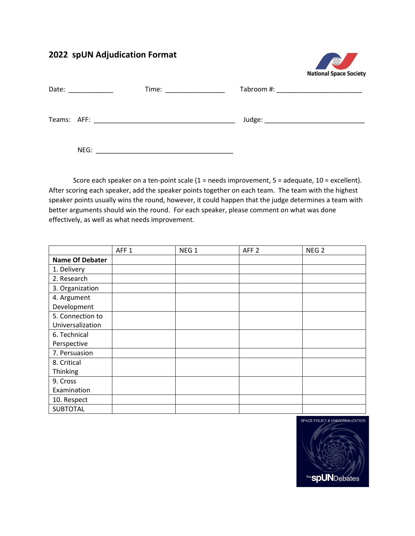## **2022 spUN Adjudication Format**



| Date: |      | Time: <u>with the second second</u> that the second second second second second second second second second second second second second second second second second second second second second second second second second second |                                                                                                                                                                                                                                |
|-------|------|------------------------------------------------------------------------------------------------------------------------------------------------------------------------------------------------------------------------------------|--------------------------------------------------------------------------------------------------------------------------------------------------------------------------------------------------------------------------------|
|       |      |                                                                                                                                                                                                                                    | Judge: National Contract of the Contract of the Contract of the Contract of the Contract of the Contract of the Contract of the Contract of the Contract of the Contract of the Contract of the Contract of the Contract of th |
|       | NEG: |                                                                                                                                                                                                                                    |                                                                                                                                                                                                                                |

Score each speaker on a ten-point scale (1 = needs improvement, 5 = adequate, 10 = excellent). After scoring each speaker, add the speaker points together on each team. The team with the highest speaker points usually wins the round, however, it could happen that the judge determines a team with better arguments should win the round. For each speaker, please comment on what was done effectively, as well as what needs improvement.

|                        | AFF <sub>1</sub> | NEG <sub>1</sub> | AFF <sub>2</sub> | NEG <sub>2</sub> |  |
|------------------------|------------------|------------------|------------------|------------------|--|
| <b>Name Of Debater</b> |                  |                  |                  |                  |  |
| 1. Delivery            |                  |                  |                  |                  |  |
| 2. Research            |                  |                  |                  |                  |  |
| 3. Organization        |                  |                  |                  |                  |  |
| 4. Argument            |                  |                  |                  |                  |  |
| Development            |                  |                  |                  |                  |  |
| 5. Connection to       |                  |                  |                  |                  |  |
| Universalization       |                  |                  |                  |                  |  |
| 6. Technical           |                  |                  |                  |                  |  |
| Perspective            |                  |                  |                  |                  |  |
| 7. Persuasion          |                  |                  |                  |                  |  |
| 8. Critical            |                  |                  |                  |                  |  |
| Thinking               |                  |                  |                  |                  |  |
| 9. Cross               |                  |                  |                  |                  |  |
| Examination            |                  |                  |                  |                  |  |
| 10. Respect            |                  |                  |                  |                  |  |
| <b>SUBTOTAL</b>        |                  |                  |                  |                  |  |

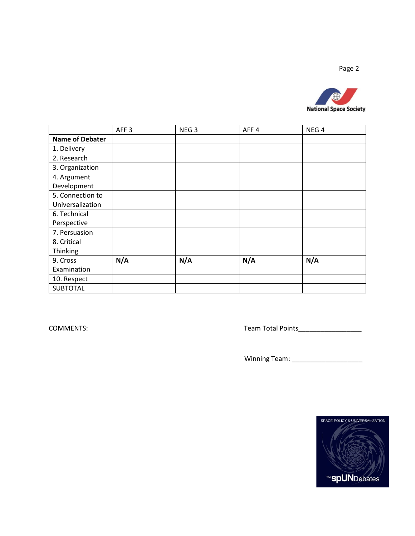Page 2



|                        | AFF <sub>3</sub> | NEG <sub>3</sub> | AFF4 | NEG <sub>4</sub> |
|------------------------|------------------|------------------|------|------------------|
| <b>Name of Debater</b> |                  |                  |      |                  |
| 1. Delivery            |                  |                  |      |                  |
| 2. Research            |                  |                  |      |                  |
| 3. Organization        |                  |                  |      |                  |
| 4. Argument            |                  |                  |      |                  |
| Development            |                  |                  |      |                  |
| 5. Connection to       |                  |                  |      |                  |
| Universalization       |                  |                  |      |                  |
| 6. Technical           |                  |                  |      |                  |
| Perspective            |                  |                  |      |                  |
| 7. Persuasion          |                  |                  |      |                  |
| 8. Critical            |                  |                  |      |                  |
| Thinking               |                  |                  |      |                  |
| 9. Cross               | N/A              | N/A              | N/A  | N/A              |
| Examination            |                  |                  |      |                  |
| 10. Respect            |                  |                  |      |                  |
| <b>SUBTOTAL</b>        |                  |                  |      |                  |

COMMENTS: Team Total Points\_\_\_\_\_\_\_\_\_\_\_\_\_\_\_\_\_

Winning Team: \_\_\_\_\_\_\_\_\_\_\_\_\_\_\_\_\_\_\_